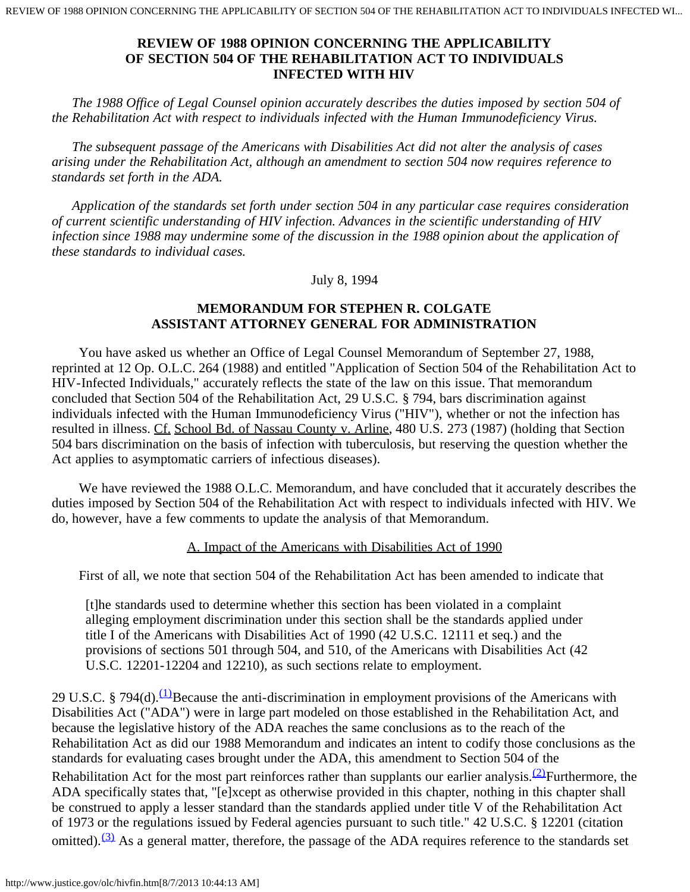*The 1988 Office of Legal Counsel opinion accurately describes the duties imposed by section 504 of the Rehabilitation Act with respect to individuals infected with the Human Immunodeficiency Virus.*

 *The subsequent passage of the Americans with Disabilities Act did not alter the analysis of cases arising under the Rehabilitation Act, although an amendment to section 504 now requires reference to standards set forth in the ADA.*

 *Application of the standards set forth under section 504 in any particular case requires consideration of current scientific understanding of HIV infection. Advances in the scientific understanding of HIV infection since 1988 may undermine some of the discussion in the 1988 opinion about the application of these standards to individual cases.*

July 8, 1994

# **MEMORANDUM FOR STEPHEN R. COLGATE ASSISTANT ATTORNEY GENERAL FOR ADMINISTRATION**

 You have asked us whether an Office of Legal Counsel Memorandum of September 27, 1988, reprinted at 12 Op. O.L.C. 264 (1988) and entitled "Application of Section 504 of the Rehabilitation Act to HIV-Infected Individuals," accurately reflects the state of the law on this issue. That memorandum concluded that Section 504 of the Rehabilitation Act, 29 U.S.C. § 794, bars discrimination against individuals infected with the Human Immunodeficiency Virus ("HIV"), whether or not the infection has resulted in illness. Cf. School Bd. of Nassau County v. Arline, 480 U.S. 273 (1987) (holding that Section 504 bars discrimination on the basis of infection with tuberculosis, but reserving the question whether the Act applies to asymptomatic carriers of infectious diseases).

 We have reviewed the 1988 O.L.C. Memorandum, and have concluded that it accurately describes the duties imposed by Section 504 of the Rehabilitation Act with respect to individuals infected with HIV. We do, however, have a few comments to update the analysis of that Memorandum.

### A. Impact of the Americans with Disabilities Act of 1990

First of all, we note that section 504 of the Rehabilitation Act has been amended to indicate that

[t]he standards used to determine whether this section has been violated in a complaint alleging employment discrimination under this section shall be the standards applied under title I of the Americans with Disabilities Act of 1990 (42 U.S.C. 12111 et seq.) and the provisions of sections 501 through 504, and 510, of the Americans with Disabilities Act (42 U.S.C. 12201-12204 and 12210), as such sections relate to employment.

29 U.S.C. § 794(d). $(1)$ Because the anti-discrimination in employment provisions of the Americans with Disabilities Act ("ADA") were in large part modeled on those established in the Rehabilitation Act, and because the legislative history of the ADA reaches the same conclusions as to the reach of the Rehabilitation Act as did our 1988 Memorandum and indicates an intent to codify those conclusions as the standards for evaluating cases brought under the ADA, this amendment to Section 504 of the Rehabilitation Act for the most part reinforces rather than supplants our earlier analysis.  $(2)$ Furthermore, the ADA specifically states that, "[e]xcept as otherwise provided in this chapter, nothing in this chapter shall be construed to apply a lesser standard than the standards applied under title V of the Rehabilitation Act of 1973 or the regulations issued by Federal agencies pursuant to such title." 42 U.S.C. § 12201 (citation omitted). $(3)$  As a general matter, therefore, the passage of the ADA requires reference to the standards set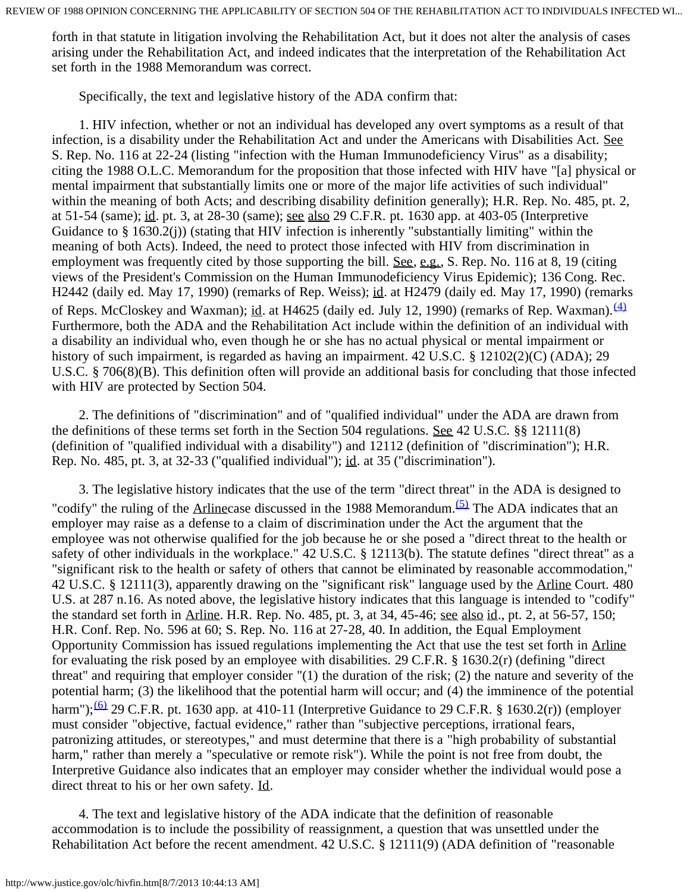forth in that statute in litigation involving the Rehabilitation Act, but it does not alter the analysis of cases arising under the Rehabilitation Act, and indeed indicates that the interpretation of the Rehabilitation Act set forth in the 1988 Memorandum was correct.

Specifically, the text and legislative history of the ADA confirm that:

 1. HIV infection, whether or not an individual has developed any overt symptoms as a result of that infection, is a disability under the Rehabilitation Act and under the Americans with Disabilities Act. See S. Rep. No. 116 at 22-24 (listing "infection with the Human Immunodeficiency Virus" as a disability; citing the 1988 O.L.C. Memorandum for the proposition that those infected with HIV have "[a] physical or mental impairment that substantially limits one or more of the major life activities of such individual" within the meaning of both Acts; and describing disability definition generally); H.R. Rep. No. 485, pt. 2, at 51-54 (same); id. pt. 3, at 28-30 (same); see also 29 C.F.R. pt. 1630 app. at 403-05 (Interpretive Guidance to § 1630.2(j)) (stating that HIV infection is inherently "substantially limiting" within the meaning of both Acts). Indeed, the need to protect those infected with HIV from discrimination in employment was frequently cited by those supporting the bill. See, e.g., S. Rep. No. 116 at 8, 19 (citing views of the President's Commission on the Human Immunodeficiency Virus Epidemic); 136 Cong. Rec. H2442 (daily ed. May 17, 1990) (remarks of Rep. Weiss); id. at H2479 (daily ed. May 17, 1990) (remarks of Reps. McCloskey and Waxman); id. at H4625 (daily ed. July 12, 1990) (remarks of Rep. Waxman).  $\frac{(4)}{4}$  $\frac{(4)}{4}$  $\frac{(4)}{4}$ Furthermore, both the ADA and the Rehabilitation Act include within the definition of an individual with a disability an individual who, even though he or she has no actual physical or mental impairment or history of such impairment, is regarded as having an impairment. 42 U.S.C. § 12102(2)(C) (ADA); 29 U.S.C. § 706(8)(B). This definition often will provide an additional basis for concluding that those infected with HIV are protected by Section 504.

 2. The definitions of "discrimination" and of "qualified individual" under the ADA are drawn from the definitions of these terms set forth in the Section 504 regulations. See 42 U.S.C. §§ 12111(8) (definition of "qualified individual with a disability") and 12112 (definition of "discrimination"); H.R. Rep. No. 485, pt. 3, at 32-33 ("qualified individual"); id. at 35 ("discrimination").

 3. The legislative history indicates that the use of the term "direct threat" in the ADA is designed to "codify" the ruling of the Arlinecase discussed in the 1988 Memorandum.<sup> $(5)$ </sup> The ADA indicates that an employer may raise as a defense to a claim of discrimination under the Act the argument that the employee was not otherwise qualified for the job because he or she posed a "direct threat to the health or safety of other individuals in the workplace." 42 U.S.C. § 12113(b). The statute defines "direct threat" as a "significant risk to the health or safety of others that cannot be eliminated by reasonable accommodation," 42 U.S.C. § 12111(3), apparently drawing on the "significant risk" language used by the Arline Court. 480 U.S. at 287 n.16. As noted above, the legislative history indicates that this language is intended to "codify" the standard set forth in Arline. H.R. Rep. No. 485, pt. 3, at 34, 45-46; see also id., pt. 2, at 56-57, 150; H.R. Conf. Rep. No. 596 at 60; S. Rep. No. 116 at 27-28, 40. In addition, the Equal Employment Opportunity Commission has issued regulations implementing the Act that use the test set forth in Arline for evaluating the risk posed by an employee with disabilities. 29 C.F.R. § 1630.2(r) (defining "direct threat" and requiring that employer consider "(1) the duration of the risk; (2) the nature and severity of the potential harm; (3) the likelihood that the potential harm will occur; and (4) the imminence of the potential harm"); $\frac{(6)}{2}$  29 C.F.R. pt. 1630 app. at 410-11 (Interpretive Guidance to 29 C.F.R. § 1630.2(r)) (employer must consider "objective, factual evidence," rather than "subjective perceptions, irrational fears, patronizing attitudes, or stereotypes," and must determine that there is a "high probability of substantial harm," rather than merely a "speculative or remote risk"). While the point is not free from doubt, the Interpretive Guidance also indicates that an employer may consider whether the individual would pose a direct threat to his or her own safety. Id.

 4. The text and legislative history of the ADA indicate that the definition of reasonable accommodation is to include the possibility of reassignment, a question that was unsettled under the Rehabilitation Act before the recent amendment. 42 U.S.C. § 12111(9) (ADA definition of "reasonable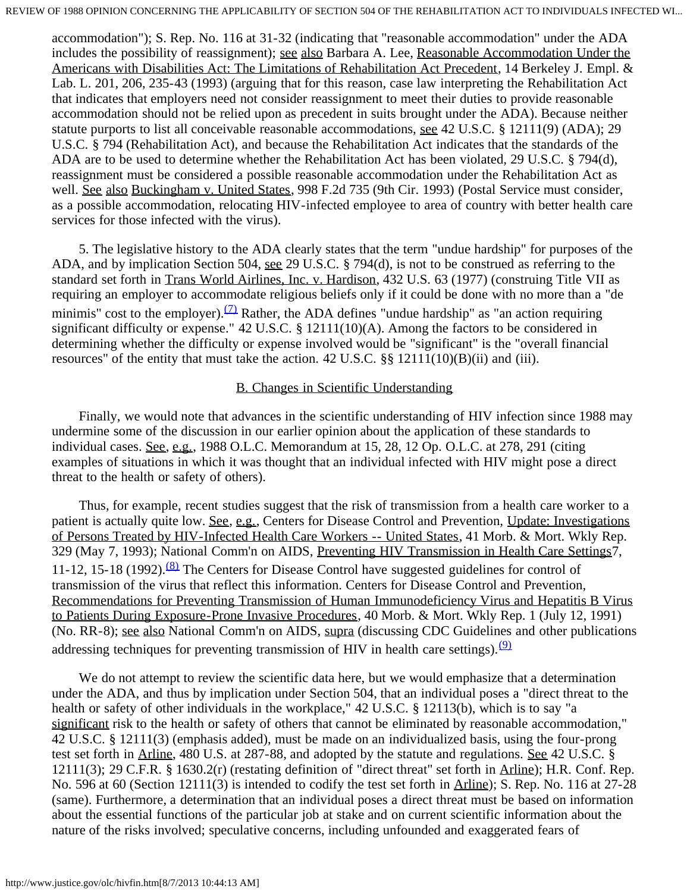accommodation"); S. Rep. No. 116 at 31-32 (indicating that "reasonable accommodation" under the ADA includes the possibility of reassignment); see also Barbara A. Lee, Reasonable Accommodation Under the Americans with Disabilities Act: The Limitations of Rehabilitation Act Precedent, 14 Berkeley J. Empl. & Lab. L. 201, 206, 235-43 (1993) (arguing that for this reason, case law interpreting the Rehabilitation Act that indicates that employers need not consider reassignment to meet their duties to provide reasonable accommodation should not be relied upon as precedent in suits brought under the ADA). Because neither statute purports to list all conceivable reasonable accommodations, see 42 U.S.C. § 12111(9) (ADA); 29 U.S.C. § 794 (Rehabilitation Act), and because the Rehabilitation Act indicates that the standards of the ADA are to be used to determine whether the Rehabilitation Act has been violated, 29 U.S.C. § 794(d), reassignment must be considered a possible reasonable accommodation under the Rehabilitation Act as well. See also Buckingham v. United States, 998 F.2d 735 (9th Cir. 1993) (Postal Service must consider, as a possible accommodation, relocating HIV-infected employee to area of country with better health care services for those infected with the virus).

 5. The legislative history to the ADA clearly states that the term "undue hardship" for purposes of the ADA, and by implication Section 504, see 29 U.S.C. § 794(d), is not to be construed as referring to the standard set forth in Trans World Airlines, Inc. v. Hardison, 432 U.S. 63 (1977) (construing Title VII as requiring an employer to accommodate religious beliefs only if it could be done with no more than a "de minimis" cost to the employer).  $(7)$  Rather, the ADA defines "undue hardship" as "an action requiring significant difficulty or expense." 42 U.S.C. § 12111(10)(A). Among the factors to be considered in determining whether the difficulty or expense involved would be "significant" is the "overall financial resources" of the entity that must take the action. 42 U.S.C. §§ 12111(10)(B)(ii) and (iii).

### B. Changes in Scientific Understanding

 Finally, we would note that advances in the scientific understanding of HIV infection since 1988 may undermine some of the discussion in our earlier opinion about the application of these standards to individual cases. See, e.g., 1988 O.L.C. Memorandum at 15, 28, 12 Op. O.L.C. at 278, 291 (citing examples of situations in which it was thought that an individual infected with HIV might pose a direct threat to the health or safety of others).

 Thus, for example, recent studies suggest that the risk of transmission from a health care worker to a patient is actually quite low. See, e.g., Centers for Disease Control and Prevention, Update: Investigations of Persons Treated by HIV-Infected Health Care Workers -- United States, 41 Morb. & Mort. Wkly Rep. 329 (May 7, 1993); National Comm'n on AIDS, Preventing HIV Transmission in Health Care Settings7, 11-12, 15-18 (1992).<sup>[\(8\)](#page-4-3)</sup> The Centers for Disease Control have suggested guidelines for control of transmission of the virus that reflect this information. Centers for Disease Control and Prevention, Recommendations for Preventing Transmission of Human Immunodeficiency Virus and Hepatitis B Virus to Patients During Exposure-Prone Invasive Procedures, 40 Morb. & Mort. Wkly Rep. 1 (July 12, 1991) (No. RR-8); see also National Comm'n on AIDS, supra (discussing CDC Guidelines and other publications addressing techniques for preventing transmission of HIV in health care settings).  $(9)$ 

We do not attempt to review the scientific data here, but we would emphasize that a determination under the ADA, and thus by implication under Section 504, that an individual poses a "direct threat to the health or safety of other individuals in the workplace," 42 U.S.C. § 12113(b), which is to say "a significant risk to the health or safety of others that cannot be eliminated by reasonable accommodation," 42 U.S.C. § 12111(3) (emphasis added), must be made on an individualized basis, using the four-prong test set forth in Arline, 480 U.S. at 287-88, and adopted by the statute and regulations. See 42 U.S.C. § 12111(3); 29 C.F.R. § 1630.2(r) (restating definition of "direct threat" set forth in Arline); H.R. Conf. Rep. No. 596 at 60 (Section 12111(3) is intended to codify the test set forth in Arline); S. Rep. No. 116 at 27-28 (same). Furthermore, a determination that an individual poses a direct threat must be based on information about the essential functions of the particular job at stake and on current scientific information about the nature of the risks involved; speculative concerns, including unfounded and exaggerated fears of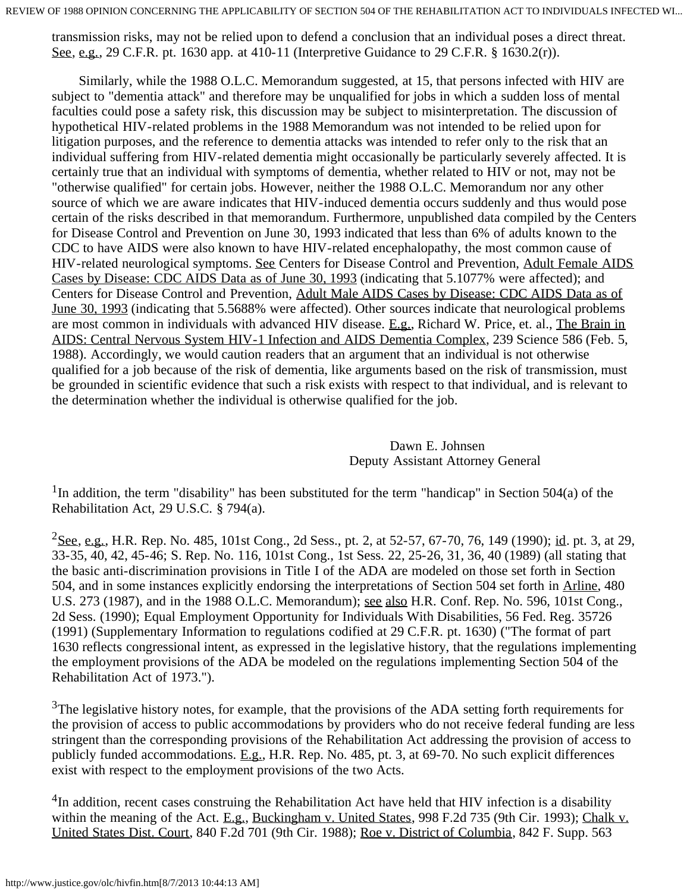transmission risks, may not be relied upon to defend a conclusion that an individual poses a direct threat. See, e.g., 29 C.F.R. pt. 1630 app. at 410-11 (Interpretive Guidance to 29 C.F.R. § 1630.2(r)).

 Similarly, while the 1988 O.L.C. Memorandum suggested, at 15, that persons infected with HIV are subject to "dementia attack" and therefore may be unqualified for jobs in which a sudden loss of mental faculties could pose a safety risk, this discussion may be subject to misinterpretation. The discussion of hypothetical HIV-related problems in the 1988 Memorandum was not intended to be relied upon for litigation purposes, and the reference to dementia attacks was intended to refer only to the risk that an individual suffering from HIV-related dementia might occasionally be particularly severely affected. It is certainly true that an individual with symptoms of dementia, whether related to HIV or not, may not be "otherwise qualified" for certain jobs. However, neither the 1988 O.L.C. Memorandum nor any other source of which we are aware indicates that HIV-induced dementia occurs suddenly and thus would pose certain of the risks described in that memorandum. Furthermore, unpublished data compiled by the Centers for Disease Control and Prevention on June 30, 1993 indicated that less than 6% of adults known to the CDC to have AIDS were also known to have HIV-related encephalopathy, the most common cause of HIV-related neurological symptoms. See Centers for Disease Control and Prevention, Adult Female AIDS Cases by Disease: CDC AIDS Data as of June 30, 1993 (indicating that 5.1077% were affected); and Centers for Disease Control and Prevention, Adult Male AIDS Cases by Disease: CDC AIDS Data as of June 30, 1993 (indicating that 5.5688% were affected). Other sources indicate that neurological problems are most common in individuals with advanced HIV disease. E.g., Richard W. Price, et. al., The Brain in AIDS: Central Nervous System HIV-1 Infection and AIDS Dementia Complex, 239 Science 586 (Feb. 5, 1988). Accordingly, we would caution readers that an argument that an individual is not otherwise qualified for a job because of the risk of dementia, like arguments based on the risk of transmission, must be grounded in scientific evidence that such a risk exists with respect to that individual, and is relevant to the determination whether the individual is otherwise qualified for the job.

> Dawn E. Johnsen Deputy Assistant Attorney General

<span id="page-3-0"></span><sup>1</sup>In addition, the term "disability" has been substituted for the term "handicap" in Section 504(a) of the Rehabilitation Act, 29 U.S.C. § 794(a).

<span id="page-3-1"></span> $^{2}$ See, e.g., H.R. Rep. No. 485, 101st Cong., 2d Sess., pt. 2, at 52-57, 67-70, 76, 149 (1990); id. pt. 3, at 29, 33-35, 40, 42, 45-46; S. Rep. No. 116, 101st Cong., 1st Sess. 22, 25-26, 31, 36, 40 (1989) (all stating that the basic anti-discrimination provisions in Title I of the ADA are modeled on those set forth in Section 504, and in some instances explicitly endorsing the interpretations of Section 504 set forth in Arline, 480 U.S. 273 (1987), and in the 1988 O.L.C. Memorandum); see also H.R. Conf. Rep. No. 596, 101st Cong., 2d Sess. (1990); Equal Employment Opportunity for Individuals With Disabilities, 56 Fed. Reg. 35726 (1991) (Supplementary Information to regulations codified at 29 C.F.R. pt. 1630) ("The format of part 1630 reflects congressional intent, as expressed in the legislative history, that the regulations implementing the employment provisions of the ADA be modeled on the regulations implementing Section 504 of the Rehabilitation Act of 1973.").

<span id="page-3-2"></span> $3$ The legislative history notes, for example, that the provisions of the ADA setting forth requirements for the provision of access to public accommodations by providers who do not receive federal funding are less stringent than the corresponding provisions of the Rehabilitation Act addressing the provision of access to publicly funded accommodations. E.g., H.R. Rep. No. 485, pt. 3, at 69-70. No such explicit differences exist with respect to the employment provisions of the two Acts.

<span id="page-3-3"></span><sup>4</sup>In addition, recent cases construing the Rehabilitation Act have held that HIV infection is a disability within the meaning of the Act. E.g., Buckingham v. United States, 998 F.2d 735 (9th Cir. 1993); Chalk v. United States Dist. Court, 840 F.2d 701 (9th Cir. 1988); Roe v. District of Columbia, 842 F. Supp. 563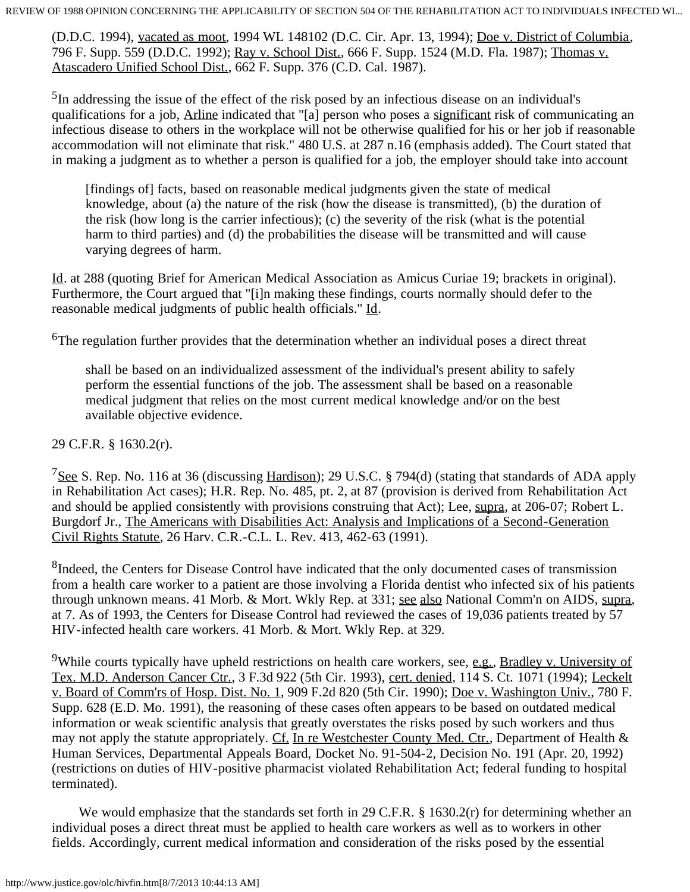(D.D.C. 1994), vacated as moot, 1994 WL 148102 (D.C. Cir. Apr. 13, 1994); Doe v. District of Columbia, 796 F. Supp. 559 (D.D.C. 1992); Ray v. School Dist., 666 F. Supp. 1524 (M.D. Fla. 1987); Thomas v. Atascadero Unified School Dist., 662 F. Supp. 376 (C.D. Cal. 1987).

<span id="page-4-0"></span><sup>5</sup>In addressing the issue of the effect of the risk posed by an infectious disease on an individual's qualifications for a job, Arline indicated that "[a] person who poses a significant risk of communicating an infectious disease to others in the workplace will not be otherwise qualified for his or her job if reasonable accommodation will not eliminate that risk." 480 U.S. at 287 n.16 (emphasis added). The Court stated that in making a judgment as to whether a person is qualified for a job, the employer should take into account

[findings of] facts, based on reasonable medical judgments given the state of medical knowledge, about (a) the nature of the risk (how the disease is transmitted), (b) the duration of the risk (how long is the carrier infectious); (c) the severity of the risk (what is the potential harm to third parties) and (d) the probabilities the disease will be transmitted and will cause varying degrees of harm.

Id. at 288 (quoting Brief for American Medical Association as Amicus Curiae 19; brackets in original). Furthermore, the Court argued that "[i]n making these findings, courts normally should defer to the reasonable medical judgments of public health officials." Id.

<span id="page-4-1"></span><sup>6</sup>The regulation further provides that the determination whether an individual poses a direct threat

shall be based on an individualized assessment of the individual's present ability to safely perform the essential functions of the job. The assessment shall be based on a reasonable medical judgment that relies on the most current medical knowledge and/or on the best available objective evidence.

#### 29 C.F.R. § 1630.2(r).

<span id="page-4-2"></span><sup>7</sup>See S. Rep. No. 116 at 36 (discussing Hardison); 29 U.S.C. § 794(d) (stating that standards of ADA apply in Rehabilitation Act cases); H.R. Rep. No. 485, pt. 2, at 87 (provision is derived from Rehabilitation Act and should be applied consistently with provisions construing that Act); Lee, supra, at 206-07; Robert L. Burgdorf Jr., The Americans with Disabilities Act: Analysis and Implications of a Second-Generation Civil Rights Statute, 26 Harv. C.R.-C.L. L. Rev. 413, 462-63 (1991).

<span id="page-4-3"></span><sup>8</sup>Indeed, the Centers for Disease Control have indicated that the only documented cases of transmission from a health care worker to a patient are those involving a Florida dentist who infected six of his patients through unknown means. 41 Morb. & Mort. Wkly Rep. at 331; see also National Comm'n on AIDS, supra, at 7. As of 1993, the Centers for Disease Control had reviewed the cases of 19,036 patients treated by 57 HIV-infected health care workers. 41 Morb. & Mort. Wkly Rep. at 329.

<span id="page-4-4"></span><sup>9</sup>While courts typically have upheld restrictions on health care workers, see, e.g., Bradley v. University of Tex. M.D. Anderson Cancer Ctr., 3 F.3d 922 (5th Cir. 1993), cert. denied, 114 S. Ct. 1071 (1994); Leckelt v. Board of Comm'rs of Hosp. Dist. No. 1, 909 F.2d 820 (5th Cir. 1990); Doe v. Washington Univ., 780 F. Supp. 628 (E.D. Mo. 1991), the reasoning of these cases often appears to be based on outdated medical information or weak scientific analysis that greatly overstates the risks posed by such workers and thus may not apply the statute appropriately. Cf. In re Westchester County Med. Ctr., Department of Health & Human Services, Departmental Appeals Board, Docket No. 91-504-2, Decision No. 191 (Apr. 20, 1992) (restrictions on duties of HIV-positive pharmacist violated Rehabilitation Act; federal funding to hospital terminated).

We would emphasize that the standards set forth in 29 C.F.R. § 1630.2(r) for determining whether an individual poses a direct threat must be applied to health care workers as well as to workers in other fields. Accordingly, current medical information and consideration of the risks posed by the essential